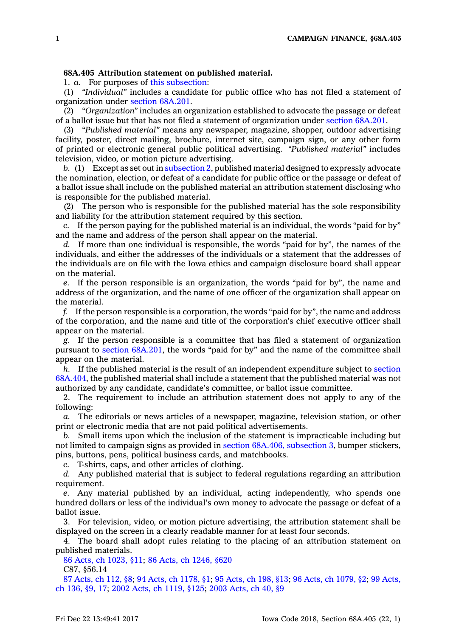## **68A.405 Attribution statement on published material.**

1. *a.* For purposes of this [subsection](https://www.legis.iowa.gov/docs/code/68A.405.pdf):

(1) *"Individual"* includes <sup>a</sup> candidate for public office who has not filed <sup>a</sup> statement of organization under section [68A.201](https://www.legis.iowa.gov/docs/code/68A.201.pdf).

(2) *"Organization"* includes an organization established to advocate the passage or defeat of <sup>a</sup> ballot issue but that has not filed <sup>a</sup> statement of organization under section [68A.201](https://www.legis.iowa.gov/docs/code/68A.201.pdf).

(3) *"Published material"* means any newspaper, magazine, shopper, outdoor advertising facility, poster, direct mailing, brochure, internet site, campaign sign, or any other form of printed or electronic general public political advertising. *"Published material"* includes television, video, or motion picture advertising.

*b.* (1) Except as set out in [subsection](https://www.legis.iowa.gov/docs/code/68A.405.pdf) 2, published material designed to expressly advocate the nomination, election, or defeat of <sup>a</sup> candidate for public office or the passage or defeat of <sup>a</sup> ballot issue shall include on the published material an attribution statement disclosing who is responsible for the published material.

(2) The person who is responsible for the published material has the sole responsibility and liability for the attribution statement required by this section.

*c.* If the person paying for the published material is an individual, the words "paid for by" and the name and address of the person shall appear on the material.

*d.* If more than one individual is responsible, the words "paid for by", the names of the individuals, and either the addresses of the individuals or <sup>a</sup> statement that the addresses of the individuals are on file with the Iowa ethics and campaign disclosure board shall appear on the material.

*e.* If the person responsible is an organization, the words "paid for by", the name and address of the organization, and the name of one officer of the organization shall appear on the material.

*f.* If the person responsible is <sup>a</sup> corporation, the words "paid for by", the name and address of the corporation, and the name and title of the corporation's chief executive officer shall appear on the material.

*g.* If the person responsible is <sup>a</sup> committee that has filed <sup>a</sup> statement of organization pursuant to section [68A.201](https://www.legis.iowa.gov/docs/code/68A.201.pdf), the words "paid for by" and the name of the committee shall appear on the material.

*h.* If the published material is the result of an independent expenditure subject to [section](https://www.legis.iowa.gov/docs/code/68A.404.pdf) [68A.404](https://www.legis.iowa.gov/docs/code/68A.404.pdf), the published material shall include <sup>a</sup> statement that the published material was not authorized by any candidate, candidate's committee, or ballot issue committee.

2. The requirement to include an attribution statement does not apply to any of the following:

*a.* The editorials or news articles of <sup>a</sup> newspaper, magazine, television station, or other print or electronic media that are not paid political advertisements.

*b.* Small items upon which the inclusion of the statement is impracticable including but not limited to campaign signs as provided in section 68A.406, [subsection](https://www.legis.iowa.gov/docs/code/68A.406.pdf) 3, bumper stickers, pins, buttons, pens, political business cards, and matchbooks.

*c.* T-shirts, caps, and other articles of clothing.

*d.* Any published material that is subject to federal regulations regarding an attribution requirement.

*e.* Any material published by an individual, acting independently, who spends one hundred dollars or less of the individual's own money to advocate the passage or defeat of <sup>a</sup> ballot issue.

3. For television, video, or motion picture advertising, the attribution statement shall be displayed on the screen in <sup>a</sup> clearly readable manner for at least four seconds.

4. The board shall adopt rules relating to the placing of an attribution statement on published materials.

86 Acts, ch [1023,](https://www.legis.iowa.gov/docs/acts/86/CH1023.pdf) §11; 86 Acts, ch [1246,](https://www.legis.iowa.gov/docs/acts/86/CH1246.pdf) §620

C87, §56.14

87 [Acts,](https://www.legis.iowa.gov/docs/acts/87/CH0112.pdf) ch 112, §8; 94 Acts, ch [1178,](https://www.legis.iowa.gov/docs/acts/94/CH1178.pdf) §1; 95 [Acts,](https://www.legis.iowa.gov/docs/acts/95/CH0198.pdf) ch 198, §13; 96 Acts, ch [1079,](https://www.legis.iowa.gov/docs/acts/96/CH1079.pdf) §2; 99 [Acts,](https://www.legis.iowa.gov/docs/acts/99/CH0136.pdf) ch [136,](https://www.legis.iowa.gov/docs/acts/99/CH0136.pdf) §9, 17; 2002 Acts, ch [1119,](https://www.legis.iowa.gov/docs/acts/2002/CH1119.pdf) §125; 2003 [Acts,](https://www.legis.iowa.gov/docs/acts/2003/CH0040.pdf) ch 40, §9